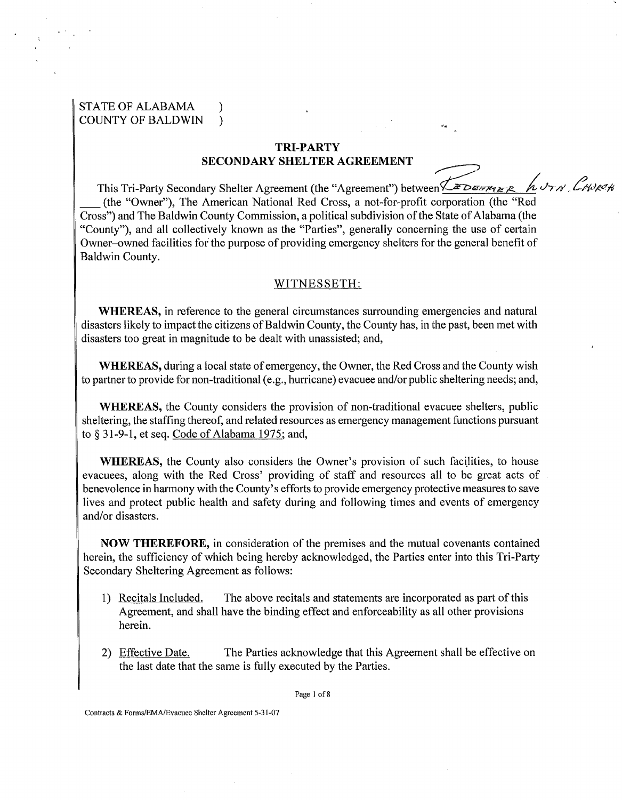## STATE OF ALABAMA ) COUNTY OF BALDWIN )

### TRI-PARTY SECONDARY SHELTER AGREEMENT

This Tri-Party Secondary Shelter Agreement (the "Agreement") between *MEDSEMER AUTH CHURCH*<br>Corporation (the "Red TRI-PARTY<br>
SECONDARY SHELTER AGREEMENT<br>
This Tri-Party Secondary Shelter Agreement (the "Agreement") between  $\sqrt{\frac{2DE_{x}P_{t}}{2R_{t}}}\approx\frac{h}{2}$ <br>
(the "Owner"), The American National Red Cross, a not-for-profit corporation (th Cross") and The Baldwin County Commission, a political subdivision of the State of Alabama (the "County"), and all collectively known as the "Parties", generally concerning the use of certain Owner-owned facilities for the purpose of providing emergency shelters for the general benefit of Baldwin County.

#### WITNESSETH:

WHEREAS, in reference to the general circumstances surrounding emergencies and natural disasters likely to impact the citizens of Baldwin County, the County has, in the past, been met with disasters too great in magnitude to be dealt with unassisted; and,

WHEREAS, during a local state of emergency, the Owner, the Red Cross and the County wish to partner to provide for non-traditional (e.g., hurricane) evacuee and/or public sheltering needs; and,

WHEREAS, the County considers the provision of non-traditional evacuee shelters, public sheltering, the staffing thereof, and related resources as emergency management functions pursuant to *5* **3** 1-9-1, et seq. Code of Alabama 1975; and,

WHEREAS, the County also considers the Owner's provision of such facilities, to house evacuees, along with the Red Cross' providing of staff and resources all to be great acts of benevolence in harmony with the County's efforts to provide emergency protective measures to save lives and protect public health and safety during and following times and events of emergency and/or disasters.

NOW THEREFORE, in consideration of the premises and the mutual covenants contained herein, the sufficiency of which being hereby acknowledged, the Parties enter into this Tri-Party Secondary Sheltering Agreement as follows:

- 1) Recitals Included. The above recitals and statements are incorporated as part of this Agreement, and shall have the binding effect and enforceability as all other provisions herein.
- 2) Effective Date. The Parties acknowledge that this Agreement shall be effective on the last date that the same is fully executed by the Parties.

Page 1 of 8

Contracts & Forms/EMA/Evacuee Shelter Agreement 5-31-07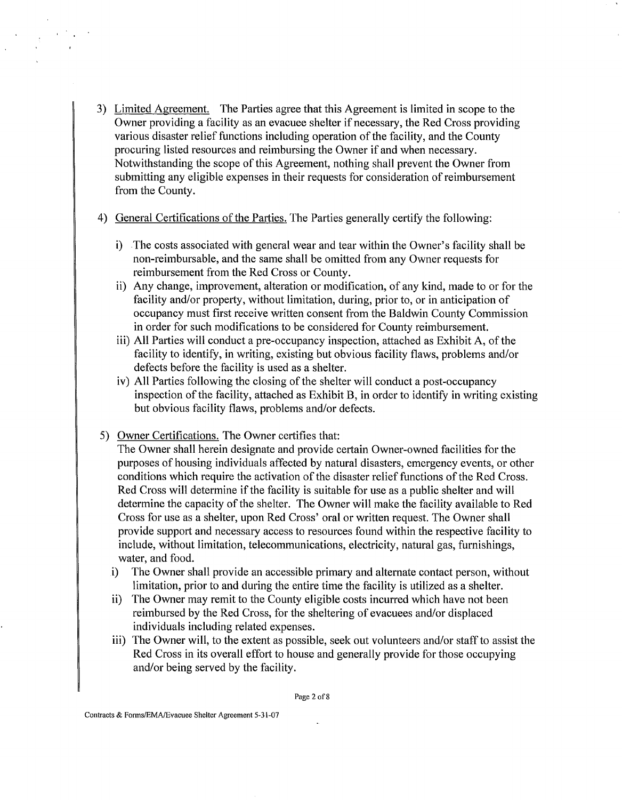- 3) Limited Agreement. The Parties agree that this Agreement is limited in scope to the Owner providing a facility as an evacuee shelter if necessary, the Red Cross providing various disaster relief functions including operation of the facility, and the County procuring listed resources and reimbursing the Owner if and when necessary. Notwithstanding the scope of this Agreement, nothing shall prevent the Owner from submitting any eligible expenses in their requests for consideration of reimbursement from the County.
- 4) General Certifications of the Parties. The Parties generally certify the following:
	- i) The costs associated with general wear and tear within the Owner's facility shall be non-reimbursable, and the same shall be omitted from any Owner requests for reimbursement from the Red Cross or County.
	- ii) Any change, improvement, alteration or modification, of any kind, made to or for the facility and/or property, without limitation, during, prior to, or in anticipation of occupancy must first receive written consent from the Baldwin County Commission in order for such modifications to be considered for County reimbursement.
	- iii) All Parties will conduct a pre-occupancy inspection, attached as Exhibit A, of the facility to identify, in writing, existing but obvious facility flaws, problems and/or defects before the facility is used as a shelter.
	- iv) All Parties following the closing of the shelter will conduct a post-occupancy inspection of the facility, attached as Exhibit B, in order to identify in writing existing but obvious facility flaws, problems and/or defects.
- 5) Owner Certifications. The Owner certifies that:

The Owner shall herein designate and provide certain Owner-owned facilities for the purposes of housing individuals affected by natural disasters, emergency events, or other conditions which require the activation of the disaster relief functions of the Red Cross. Red Cross will determine if the facility is suitable for use as a public shelter and will determine the capacity of the shelter. The Owner will make the facility available to Red Cross for use as a shelter, upon Red Cross' oral or written request. The Owner shall provide support and necessary access to resources found within the respective facility to include, without limitation, telecommunications, electricity, natural gas, furnishings, water, and food.

- i) The Owner shall provide an accessible primary and alternate contact person, without limitation, prior to and during the entire time the facility is utilized as a shelter.
- ii) The Owner may remit to the County eligible costs incurred which have not been reimbursed by the Red Cross, for the sheltering of evacuees and/or displaced individuals including related expenses.
- iii) The Owner will, to the extent as possible, seek out volunteers and/or staff to assist the Red Cross in its overall effort to house and generally provide for those occupying and/or being served by the facility.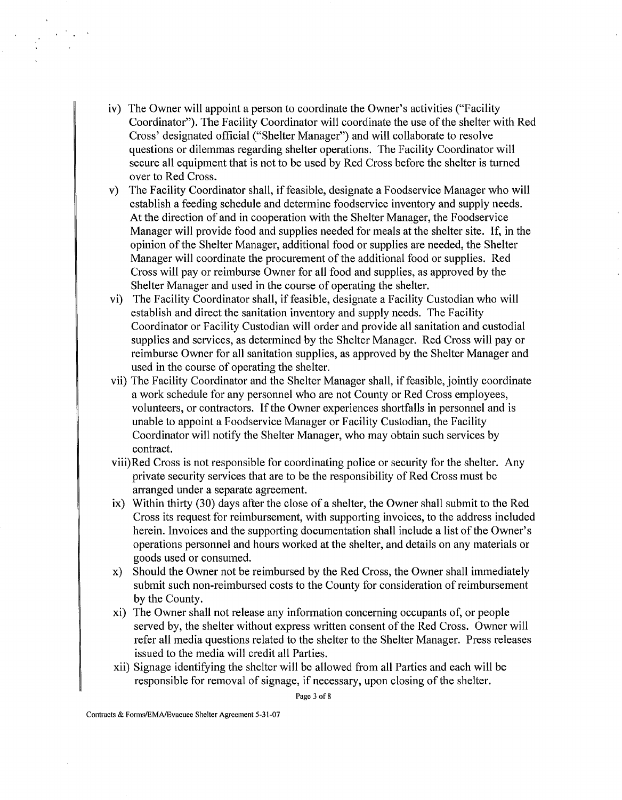- iv) The Owner will appoint a person to coordinate the Owner's activities ("Facility Coordinator"). The Facility Coordinator will coordinate the use of the shelter with Red Cross' designated official ("Shelter Manager") and will collaborate to resolve questions or dilemmas regarding shelter operations. The Facility Coordinator will secure all equipment that is not to be used by Red Cross before the shelter is turned over to Red Cross.
- v) The Facility Coordinator shall, if feasible, designate a Foodservice Manager who will establish a feeding schedule and determine foodservice inventory and supply needs. At the direction of and in cooperation with the Shelter Manager, the Foodservice Manager will provide food and supplies needed for meals at the shelter site. If, in the opinion of the Shelter Manager, additional food or supplies are needed, the Shelter Manager will coordinate the procurement of the additional food or supplies. Red Cross will pay or reimburse Owner for all food and supplies, as approved by the Shelter Manager and used in the course of operating the shelter.
- vi) The Facility Coordinator shall, if feasible, designate a Facility Custodian who will establish and direct the sanitation inventory and supply needs. The Facility Coordinator or Facility Custodian will order and provide all sanitation and custodial supplies and services, as determined by the Shelter Manager. Red Cross will pay or reimburse Owner for all sanitation supplies, as approved by the Shelter Manager and used in the course of operating the shelter.
- vii) The Facility Coordinator and the Shelter Manager shall, if feasible, jointly coordinate a work schedule for any personnel who are not County or Red Cross employees, volunteers, or contractors. If the Owner experiences shortfalls in personnel and is unable to appoint a Foodservice Manager or Facility Custodian, the Facility Coordinator will notify the Shelter Manager, who may obtain such services by contract.
- viii)Red Cross is not responsible for coordinating police or security for the shelter. Any private security services that are to be the responsibility of Red Cross must be arranged under a separate agreement.
- ix) Within thirty (30) days after the close of a shelter, the Owner shall submit to the Red Cross its request for reimbursement, with supporting invoices, to the address included herein. Invoices and the supporting documentation shall include a list of the Owner's operations personnel and hours worked at the shelter, and details on any materials or goods used or consumed.
- x) Should the Owner not be reimbursed by the Red Cross, the Owner shall immediately submit such non-reimbursed costs to the County for consideration of reimbursement by the County.
- xi) The Owner shall not release any information concerning occupants of, or people served by, the shelter without express written consent of the Red Cross. Owner will refer all media questions related to the shelter to the Shelter Manager. Press releases issued to the media will credit all Parties.
- xii) Signage identifying the shelter will be allowed from all Parties and each will be responsible for removal of signage, if necessary, upon closing of the shelter.

Page **3** of 8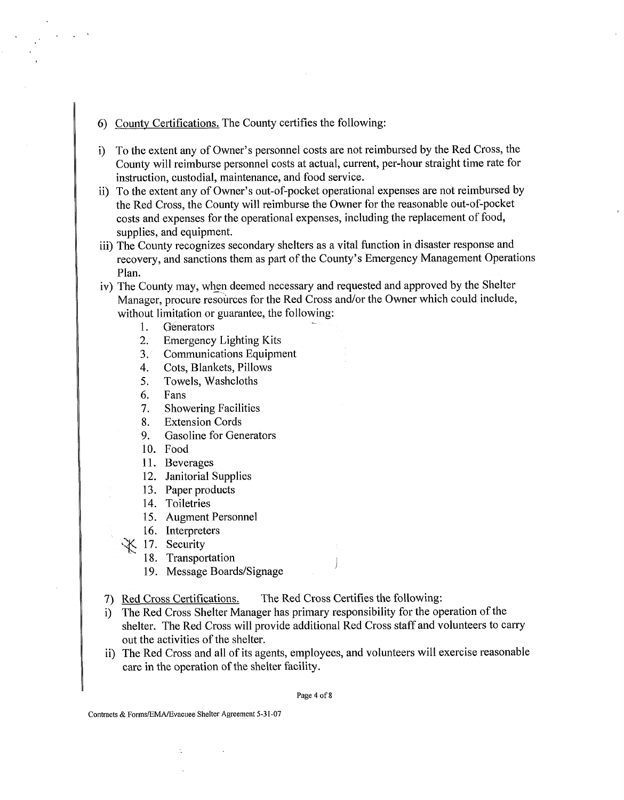- 6) Countv Certifications. The County certifies the following:
- i) To the extent any of Owner's personnel costs are not reimbursed by the Red Cross, the County will reimburse personnel costs at actual, current, per-hour straight time rate for instruction, custodial, maintenance, and food service.
- ii) To the extent any of Owner's out-of-pocket operational expenses are not reimbursed by the Red Cross, the County will reimburse the Owner for the reasonable out-of-pocket costs and expenses for the operational expenses, including the replacement of food, supplies, and equipment.
- iii) The County recognizes secondary shelters as a vital function in disaster response and recovery, and sanctions them as part of the County's Emergency Management Operations Plan.
- iv) The County may, when deemed necessary and requested and approved by the Shelter Manager, procure resources for the Red Cross and/or the Owner which could include, without limitation or guarantee, the following:<br>1. Generators
	- 1.
	- $2.$ Emergency Lighting Kits
	- $3.7$ Communications Equipment
	- Cots, Blankets, Pillows  $\overline{4}$ .
	- 5. Towels, Washcloths
	- Fans 6.
	- $7.$ Showering Facilities
	- 8. Extension Cords
	- Gasoline for Generators 9.
	- 10. Food
	- 11. Beverages
	- 12. Janitorial Supplies
	- 13. Paper products
	- 14. Toiletries
	- Augment Personnel
	- 16. Interpreters
	- X 17. Security
		- 18. Transportation
		- 19. Message Boards/Signage
- 7) Red Cross Certifications. The Red Cross Certifies the following:
- i) The Red Cross Shelter Manager has primary responsibility for the operation of the shelter. The Red Cross will provide additional Red Cross staff and volunteers to carry out the activities of the shelter.
- ii) The Red Cross and all of its agents, employees, and volunteers will exercise reasonable care in the operation of the shelter facility.

Page 4 of **8** 

Contracts & Foms/EMA/Evacuee Shelter Agreement 5-31-07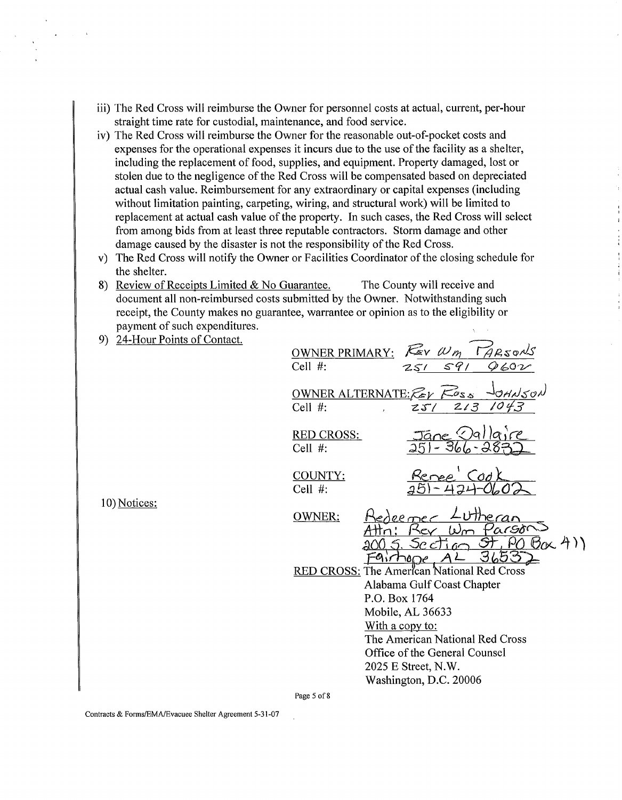- iii) The Red Cross will reimburse the Owner for personnel costs at actual, current, per-hour straight time rate for custodial, maintenance, and food service.
- iv) The Red Cross will reimburse the Owner for the reasonable out-of-pocket costs and expenses for the operational expenses it incurs due to the use of the facility as a shelter, including the replacement of food, supplies, and equipment. Property damaged, lost or stolen due to the negligence of the Red Cross will be compensated based on depreciated actual cash value. Reimbursement for any extraordinary or capital expenses (including without limitation painting, carpeting, wiring, and structural work) will be limited to replacement at actual cash value of the property. In such cases, the Red Cross will select from among bids from at least three reputable contractors. Storm damage and other damage caused by the disaster is not the responsibility of the Red Cross.
- v) The Red Cross will notify the Owner or Facilities Coordinator of the closing schedule for the shelter.
- 8) Review of Receipts Limited & No Guarantee. The County will receive and document all non-reimbursed costs submitted by the Owner. Notwithstanding such receipt, the County makes no guarantee, warrantee or opinion as to the eligibility or payment of such expenditures.
- 9) 24-Hour Points of Contact.

10) Notices:

| -------- | OWNER PRIMARY: FEV WM TARSONS<br>Cell $#$ :                 |                                  | 251591                                                                                                                                                              |              |                    |  |
|----------|-------------------------------------------------------------|----------------------------------|---------------------------------------------------------------------------------------------------------------------------------------------------------------------|--------------|--------------------|--|
|          | OWNER ALTERNATE: $\mathcal{Z}_V$ $\kappa s_s$<br>Cell $#$ : |                                  | 25/                                                                                                                                                                 | 2/3          | JOHNSON<br>1043    |  |
|          | <b>RED CROSS:</b><br>Cell #:                                |                                  | Jáne                                                                                                                                                                |              |                    |  |
|          | COUNTY:<br>Cell $#$ :                                       |                                  | kenee                                                                                                                                                               | $\bigcirc$ d |                    |  |
|          | <b>OWNER:</b>                                               |                                  | eeme<br>$\mathbf{L}$<br>OCL                                                                                                                                         | reran        | arson<br>POB(x, 4) |  |
|          | <b>RED CROSS: The American National Red Cross</b>           | P.O. Box 1764<br>With a copy to: | Alabama Gulf Coast Chapter<br>Mobile, AL 36633<br>The American National Red Cross<br>Office of the General Counsel<br>2025 E Street, N.W.<br>Washington, D.C. 20006 |              |                    |  |
|          |                                                             |                                  |                                                                                                                                                                     |              |                    |  |

Page 5 of **8**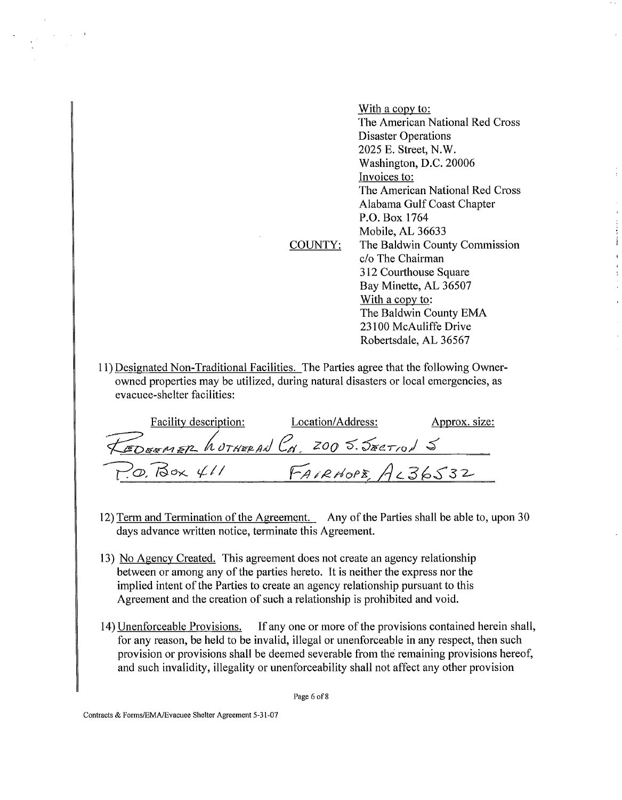COUNTY: With a copy to: The American National Red Cross Disaster Operations 2025 E. Street, N.W. Washington, D.C. 20006 Invoices to: The American National Red Cross Alabama Gulf Coast Chapter P.O. Box 1764 Mobile, AL 36633 The Baldwin County Commission c/o The Chairman 3 12 Courthouse Square Bay Minette, **AL** 36507 With a copy to: The Baldwin County **EMA**  23 100 McAuliffe Drive Robertsdale, AL 36567

j

1 1) Designated Non-Traditional Facilities. The Parties agree that the following Ownerowned properties may be utilized, during natural disasters or local emergencies, as evacuee-shelter facilities:

| owned properties may be utilized, during natural disasters or local emergencies, as<br>evacuee-shelter facilities: |                   |               |
|--------------------------------------------------------------------------------------------------------------------|-------------------|---------------|
| <b>Facility description:</b>                                                                                       | Location/Address: | Approx. size: |
| REDEEMER hotHERAN CH, 200 5. JECTION 5                                                                             |                   |               |
| $P$ , $\varphi$ , $\beta \propto 411$                                                                              | FAIRHOPE, AL36532 |               |

- 12) Term and Termination of the Agreement. Any of the Parties shall be able to, upon 30 days advance written notice, terminate this Agreement.
- 13) No Agency Created. This agreement does not create an agency relationship between or among any of the parties hereto. It is neither the express nor the implied intent of the Parties to create an agency relationship pursuant to this Agreement and the creation of such a relationship is prohibited and void.
- 14) Unenforceable Provisions. If any one or more of the provisions contained herein shall, for any reason, be held to be invalid, illegal or unenforceable in any respect, then such provision or provisions shall be deemed severable from the remaining provisions hereof, and such invalidity, illegality or unenforceability shall not affect any other provision

Page 6 of 8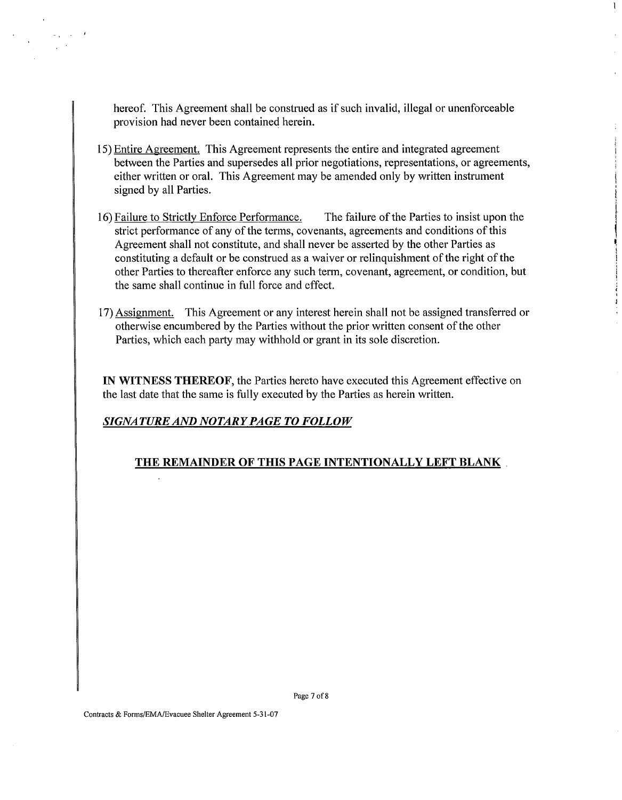hereof. This Agreement shall be construed as if such invalid, illegal or unenforceable provision had never been contained herein.

 $\mathbf{I}$ 

- 15) Entire Agreement. This Agreement represents the entire and integrated agreement between the Parties and supersedes all prior negotiations, representations, or agreements, either written or oral. This Agreement may be amended only by written instrument signed by all Parties.
- 16) Failure to Strictly Enforce Performance. The failure of the Parties to insist upon the strict performance of any of the terms, covenants, agreements and conditions of this Agreement shall not constitute, and shall never be asserted by the other Parties as constituting a default or be construed as a waiver or relinquishment of the right of the other Parties to thereafter enforce any such term, covenant, agreement, or condition, but the same shall continue in full force and effect.
- 17) Assignment. This Agreement or any interest herein shall not be assigned transferred or otherwise encumbered by the Parties without the prior written consent of the other Parties, which each party may withhold or grant in its sole discretion.

**IN WITNESS THEREOF,** the Parties hereto have executed this Agreement effective on the last date that the same is fully executed by the Parties as herein written.

# *SIGNATURE AND NOTARY PAGE TO FOLLOW*

## **THE REMAINDER OF THIS PAGE INTENTIONALLY LEFT BLANK**